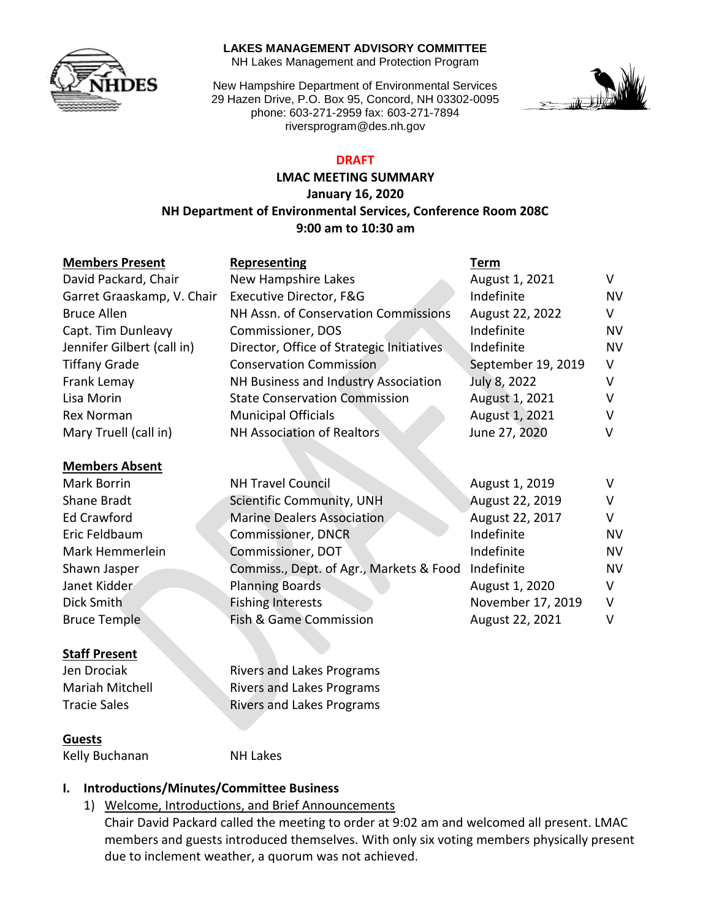

#### **LAKES MANAGEMENT ADVISORY COMMITTEE**

NH Lakes Management and Protection Program

New Hampshire Department of Environmental Services 29 Hazen Drive, P.O. Box 95, Concord, NH 03302-0095 phone: 603-271-2959 fax: 603-271-7894 riversprogram@des.nh.gov



### **DRAFT**

### **LMAC MEETING SUMMARY January 16, 2020 NH Department of Environmental Services, Conference Room 208C 9:00 am to 10:30 am**

| <b>Members Present</b>     | <b>Representing</b>                       | Term               |           |
|----------------------------|-------------------------------------------|--------------------|-----------|
| David Packard, Chair       | New Hampshire Lakes                       | August 1, 2021     | V         |
| Garret Graaskamp, V. Chair | Executive Director, F&G                   | Indefinite         | <b>NV</b> |
| <b>Bruce Allen</b>         | NH Assn. of Conservation Commissions      | August 22, 2022    | V         |
| Capt. Tim Dunleavy         | Commissioner, DOS                         | Indefinite         | NV        |
| Jennifer Gilbert (call in) | Director, Office of Strategic Initiatives | Indefinite         | <b>NV</b> |
| <b>Tiffany Grade</b>       | <b>Conservation Commission</b>            | September 19, 2019 | V         |
| Frank Lemay                | NH Business and Industry Association      | July 8, 2022       | v         |
| Lisa Morin                 | <b>State Conservation Commission</b>      | August 1, 2021     | v         |
| <b>Rex Norman</b>          | <b>Municipal Officials</b>                | August 1, 2021     | v         |
| Mary Truell (call in)      | <b>NH Association of Realtors</b>         | June 27, 2020      | v         |
| <b>Members Absent</b>      |                                           |                    |           |
| <b>Mark Borrin</b>         | <b>NH Travel Council</b>                  | August 1, 2019     | v         |
| Shane Bradt                | Scientific Community, UNH                 | August 22, 2019    | v         |
| <b>Ed Crawford</b>         | <b>Marine Dealers Association</b>         | August 22, 2017    | V         |
| Eric Feldbaum              | <b>Commissioner, DNCR</b>                 | Indefinite         | <b>NV</b> |
| Mark Hemmerlein            | Commissioner, DOT                         | Indefinite         | NV        |
| Shawn Jasper               | Commiss., Dept. of Agr., Markets & Food   | Indefinite         | <b>NV</b> |
| Janet Kidder               | <b>Planning Boards</b>                    | August 1, 2020     | V         |
| Dick Smith                 | <b>Fishing Interests</b>                  | November 17, 2019  | V         |
| <b>Bruce Temple</b>        | Fish & Game Commission                    | August 22, 2021    | v         |

### **Staff Present**

**Guests**

**Jen Drociak Rivers and Lakes Programs** Mariah Mitchell Rivers and Lakes Programs Tracie Sales **Rivers and Lakes Programs** 

# **I. Introductions/Minutes/Committee Business**

Kelly Buchanan NH Lakes

1) Welcome, Introductions, and Brief Announcements

Chair David Packard called the meeting to order at 9:02 am and welcomed all present. LMAC members and guests introduced themselves. With only six voting members physically present due to inclement weather, a quorum was not achieved.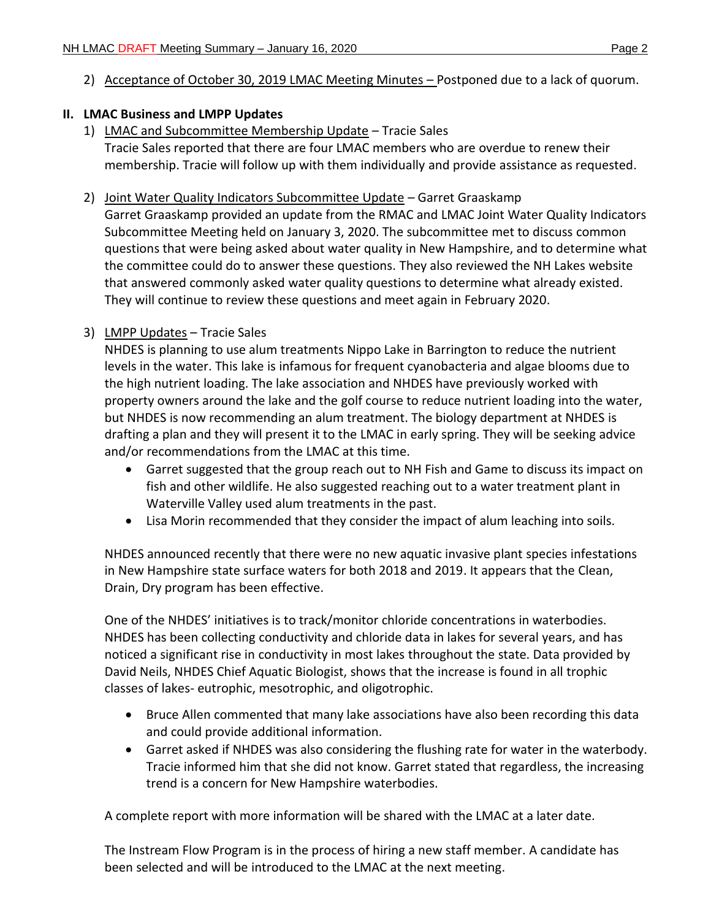### **II. LMAC Business and LMPP Updates**

- 1) LMAC and Subcommittee Membership Update Tracie Sales Tracie Sales reported that there are four LMAC members who are overdue to renew their membership. Tracie will follow up with them individually and provide assistance as requested.
- 2) Joint Water Quality Indicators Subcommittee Update Garret Graaskamp

Garret Graaskamp provided an update from the RMAC and LMAC Joint Water Quality Indicators Subcommittee Meeting held on January 3, 2020. The subcommittee met to discuss common questions that were being asked about water quality in New Hampshire, and to determine what the committee could do to answer these questions. They also reviewed the NH Lakes website that answered commonly asked water quality questions to determine what already existed. They will continue to review these questions and meet again in February 2020.

## 3) LMPP Updates – Tracie Sales

NHDES is planning to use alum treatments Nippo Lake in Barrington to reduce the nutrient levels in the water. This lake is infamous for frequent cyanobacteria and algae blooms due to the high nutrient loading. The lake association and NHDES have previously worked with property owners around the lake and the golf course to reduce nutrient loading into the water, but NHDES is now recommending an alum treatment. The biology department at NHDES is drafting a plan and they will present it to the LMAC in early spring. They will be seeking advice and/or recommendations from the LMAC at this time.

- Garret suggested that the group reach out to NH Fish and Game to discuss its impact on fish and other wildlife. He also suggested reaching out to a water treatment plant in Waterville Valley used alum treatments in the past.
- Lisa Morin recommended that they consider the impact of alum leaching into soils.

NHDES announced recently that there were no new aquatic invasive plant species infestations in New Hampshire state surface waters for both 2018 and 2019. It appears that the Clean, Drain, Dry program has been effective.

One of the NHDES' initiatives is to track/monitor chloride concentrations in waterbodies. NHDES has been collecting conductivity and chloride data in lakes for several years, and has noticed a significant rise in conductivity in most lakes throughout the state. Data provided by David Neils, NHDES Chief Aquatic Biologist, shows that the increase is found in all trophic classes of lakes- eutrophic, mesotrophic, and oligotrophic.

- Bruce Allen commented that many lake associations have also been recording this data and could provide additional information.
- Garret asked if NHDES was also considering the flushing rate for water in the waterbody. Tracie informed him that she did not know. Garret stated that regardless, the increasing trend is a concern for New Hampshire waterbodies.

A complete report with more information will be shared with the LMAC at a later date.

The Instream Flow Program is in the process of hiring a new staff member. A candidate has been selected and will be introduced to the LMAC at the next meeting.